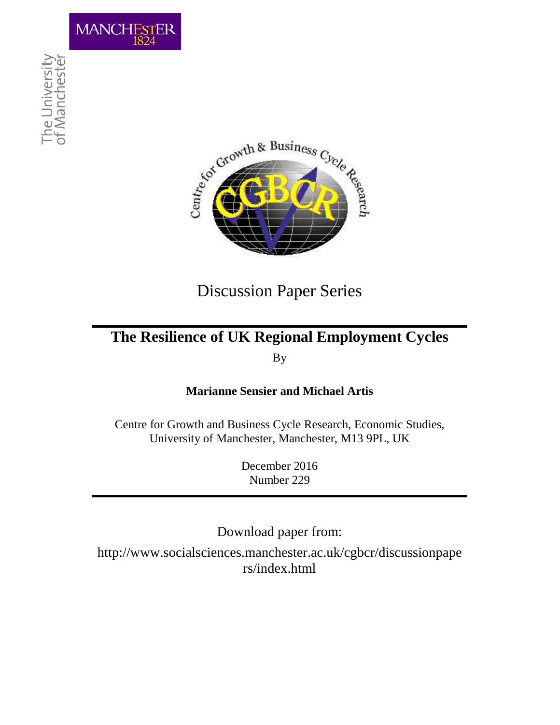



# Discussion Paper Series

# **The Resilience of UK Regional Employment Cycles**  By

## **Marianne Sensier and Michael Artis**

Centre for Growth and Business Cycle Research, Economic Studies, University of Manchester, Manchester, M13 9PL, UK

> December 2016 Number 229

Download paper from:

http://www.socialsciences.manchester.ac.uk/cgbcr/discussionpape rs/index.html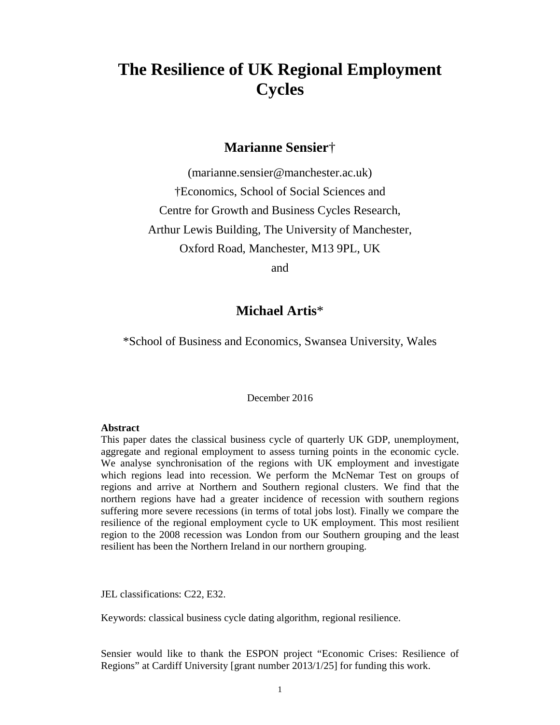# **The Resilience of UK Regional Employment Cycles**

## **Marianne Sensier**†

(marianne.sensier@manchester.ac.uk) †Economics, School of Social Sciences and Centre for Growth and Business Cycles Research, Arthur Lewis Building, The University of Manchester, Oxford Road, Manchester, M13 9PL, UK

and

## **Michael Artis**\*

\*School of Business and Economics, Swansea University, Wales

December 2016

#### **Abstract**

This paper dates the classical business cycle of quarterly UK GDP, unemployment, aggregate and regional employment to assess turning points in the economic cycle. We analyse synchronisation of the regions with UK employment and investigate which regions lead into recession. We perform the McNemar Test on groups of regions and arrive at Northern and Southern regional clusters. We find that the northern regions have had a greater incidence of recession with southern regions suffering more severe recessions (in terms of total jobs lost). Finally we compare the resilience of the regional employment cycle to UK employment. This most resilient region to the 2008 recession was London from our Southern grouping and the least resilient has been the Northern Ireland in our northern grouping.

JEL classifications: C22, E32.

Keywords: classical business cycle dating algorithm, regional resilience.

Sensier would like to thank the ESPON project "Economic Crises: Resilience of Regions" at Cardiff University [grant number 2013/1/25] for funding this work.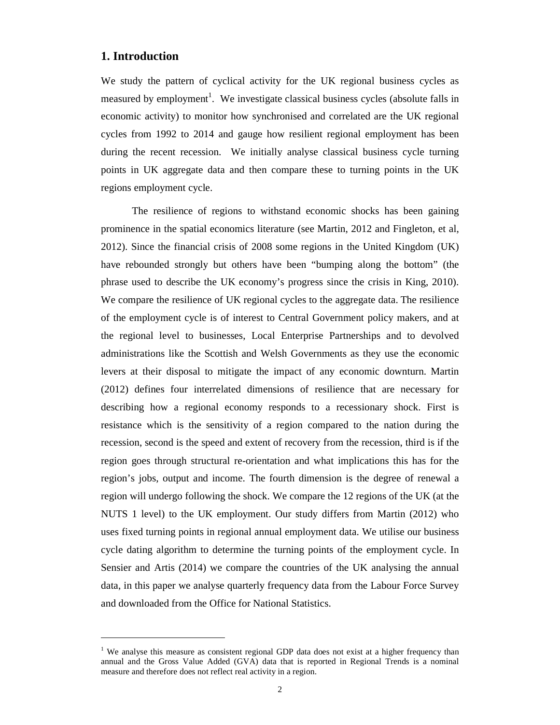#### **1. Introduction**

 $\overline{a}$ 

We study the pattern of cyclical activity for the UK regional business cycles as measured by employment<sup>1</sup>. We investigate classical business cycles (absolute falls in economic activity) to monitor how synchronised and correlated are the UK regional cycles from 1992 to 2014 and gauge how resilient regional employment has been during the recent recession. We initially analyse classical business cycle turning points in UK aggregate data and then compare these to turning points in the UK regions employment cycle.

The resilience of regions to withstand economic shocks has been gaining prominence in the spatial economics literature (see Martin, 2012 and Fingleton, et al, 2012). Since the financial crisis of 2008 some regions in the United Kingdom (UK) have rebounded strongly but others have been "bumping along the bottom" (the phrase used to describe the UK economy's progress since the crisis in King, 2010). We compare the resilience of UK regional cycles to the aggregate data. The resilience of the employment cycle is of interest to Central Government policy makers, and at the regional level to businesses, Local Enterprise Partnerships and to devolved administrations like the Scottish and Welsh Governments as they use the economic levers at their disposal to mitigate the impact of any economic downturn. Martin (2012) defines four interrelated dimensions of resilience that are necessary for describing how a regional economy responds to a recessionary shock. First is resistance which is the sensitivity of a region compared to the nation during the recession, second is the speed and extent of recovery from the recession, third is if the region goes through structural re-orientation and what implications this has for the region's jobs, output and income. The fourth dimension is the degree of renewal a region will undergo following the shock. We compare the 12 regions of the UK (at the NUTS 1 level) to the UK employment. Our study differs from Martin (2012) who uses fixed turning points in regional annual employment data. We utilise our business cycle dating algorithm to determine the turning points of the employment cycle. In Sensier and Artis (2014) we compare the countries of the UK analysing the annual data, in this paper we analyse quarterly frequency data from the Labour Force Survey and downloaded from the Office for National Statistics.

<sup>&</sup>lt;sup>1</sup> We analyse this measure as consistent regional GDP data does not exist at a higher frequency than annual and the Gross Value Added (GVA) data that is reported in Regional Trends is a nominal measure and therefore does not reflect real activity in a region.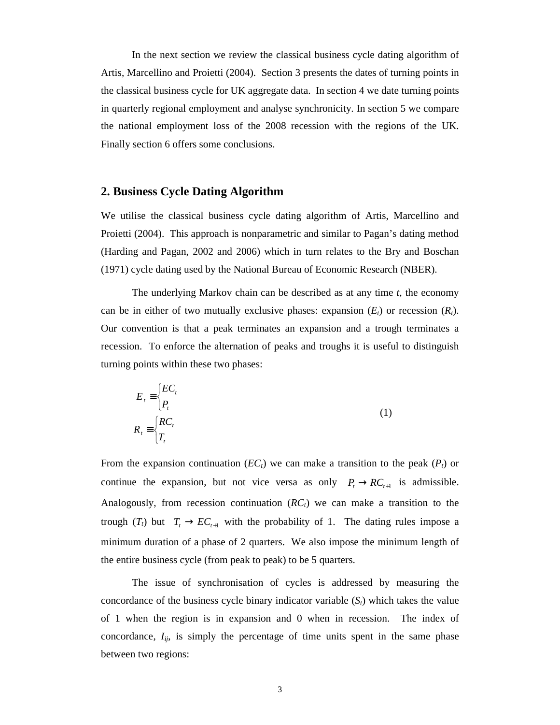In the next section we review the classical business cycle dating algorithm of Artis, Marcellino and Proietti (2004). Section 3 presents the dates of turning points in the classical business cycle for UK aggregate data. In section 4 we date turning points in quarterly regional employment and analyse synchronicity. In section 5 we compare the national employment loss of the 2008 recession with the regions of the UK. Finally section 6 offers some conclusions.

#### **2. Business Cycle Dating Algorithm**

We utilise the classical business cycle dating algorithm of Artis, Marcellino and Proietti (2004). This approach is nonparametric and similar to Pagan's dating method (Harding and Pagan, 2002 and 2006) which in turn relates to the Bry and Boschan (1971) cycle dating used by the National Bureau of Economic Research (NBER).

The underlying Markov chain can be described as at any time *t*, the economy can be in either of two mutually exclusive phases: expansion  $(E_t)$  or recession  $(R_t)$ . Our convention is that a peak terminates an expansion and a trough terminates a recession. To enforce the alternation of peaks and troughs it is useful to distinguish turning points within these two phases:

$$
E_t = \begin{cases} EC_t \\ P_t \end{cases}
$$
  

$$
R_t = \begin{cases} RC_t \\ T_t \end{cases}
$$
 (1)

From the expansion continuation  $(EC_t)$  we can make a transition to the peak  $(P_t)$  or continue the expansion, but not vice versa as only  $P_t \to RC_{t+1}$  is admissible. Analogously, from recession continuation  $(RC_t)$  we can make a transition to the trough  $(T_t)$  but  $T_t \to EC_{t+1}$  with the probability of 1. The dating rules impose a minimum duration of a phase of 2 quarters. We also impose the minimum length of the entire business cycle (from peak to peak) to be 5 quarters.

 The issue of synchronisation of cycles is addressed by measuring the concordance of the business cycle binary indicator variable  $(S_t)$  which takes the value of 1 when the region is in expansion and 0 when in recession. The index of concordance,  $I_{ij}$ , is simply the percentage of time units spent in the same phase between two regions: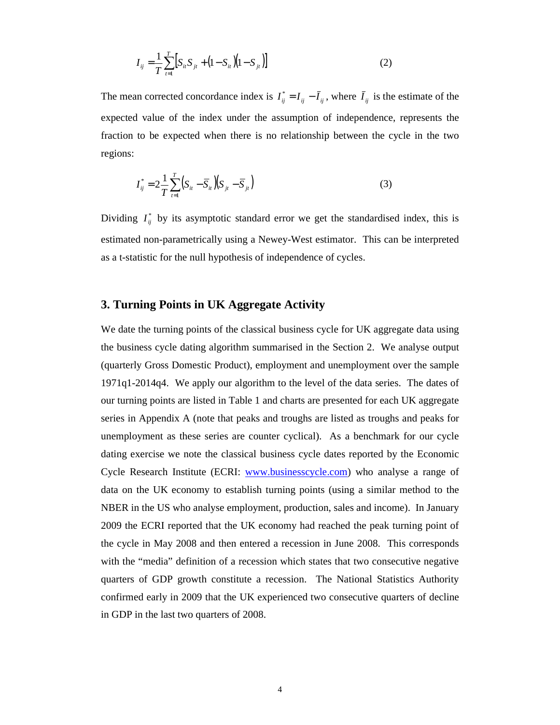$$
I_{ij} = \frac{1}{T} \sum_{t=1}^{T} \left[ S_{it} S_{jt} + (1 - S_{it}) (1 - S_{jt}) \right]
$$
 (2)

The mean corrected concordance index is  $I_{ij}^* = I_{ij} - \bar{I}_{ij}$ , where  $\bar{I}_{ij}$  is the estimate of the expected value of the index under the assumption of independence, represents the fraction to be expected when there is no relationship between the cycle in the two regions:

$$
I_{ij}^* = 2\frac{1}{T}\sum_{t=1}^T (S_{it} - \overline{S}_{it})(S_{jt} - \overline{S}_{jt})
$$
\n(3)

Dividing  $I_{ij}^*$  by its asymptotic standard error we get the standardised index, this is estimated non-parametrically using a Newey-West estimator. This can be interpreted as a t-statistic for the null hypothesis of independence of cycles.

#### **3. Turning Points in UK Aggregate Activity**

We date the turning points of the classical business cycle for UK aggregate data using the business cycle dating algorithm summarised in the Section 2. We analyse output (quarterly Gross Domestic Product), employment and unemployment over the sample 1971q1-2014q4. We apply our algorithm to the level of the data series. The dates of our turning points are listed in Table 1 and charts are presented for each UK aggregate series in Appendix A (note that peaks and troughs are listed as troughs and peaks for unemployment as these series are counter cyclical). As a benchmark for our cycle dating exercise we note the classical business cycle dates reported by the Economic Cycle Research Institute (ECRI: www.businesscycle.com) who analyse a range of data on the UK economy to establish turning points (using a similar method to the NBER in the US who analyse employment, production, sales and income). In January 2009 the ECRI reported that the UK economy had reached the peak turning point of the cycle in May 2008 and then entered a recession in June 2008. This corresponds with the "media" definition of a recession which states that two consecutive negative quarters of GDP growth constitute a recession. The National Statistics Authority confirmed early in 2009 that the UK experienced two consecutive quarters of decline in GDP in the last two quarters of 2008.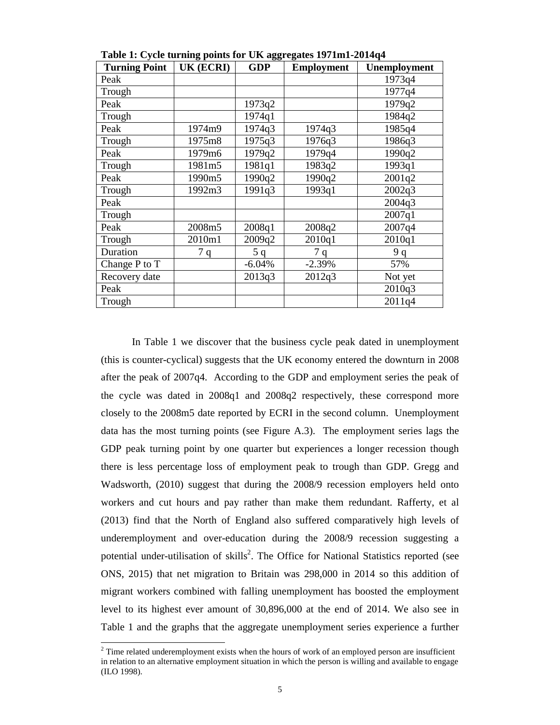| <b>Turning Point</b> | $\sigma$ r<br><b>UK (ECRI)</b> | $\sigma$<br><b>GDP</b> | o<br><b>Employment</b> | Unemployment |
|----------------------|--------------------------------|------------------------|------------------------|--------------|
| Peak                 |                                |                        |                        | 1973q4       |
| Trough               |                                |                        |                        | 1977q4       |
| Peak                 |                                | 1973q2                 |                        | 1979q2       |
| Trough               |                                | 1974q1                 |                        | 1984q2       |
| Peak                 | 1974m9                         | 1974q3                 | 1974q3                 | 1985q4       |
| Trough               | 1975m8                         | 1975q3                 | 1976q3                 | 1986q3       |
| Peak                 | 1979m6                         | 1979q2                 | 1979q4                 | 1990q2       |
| Trough               | 1981m5                         | 1981q1                 | 1983q2                 | 1993q1       |
| Peak                 | 1990m5                         | 1990q2                 | 1990q2                 | 2001q2       |
| Trough               | 1992m3                         | 1991q3                 | 1993q1                 | 2002q3       |
| Peak                 |                                |                        |                        | 2004q3       |
| Trough               |                                |                        |                        | 2007q1       |
| Peak                 | 2008m5                         | 2008q1                 | 2008q2                 | 2007q4       |
| Trough               | 2010m1                         | 2009q2                 | 2010q1                 | 2010q1       |
| Duration             | 7q                             | 5q                     | 7q                     | 9q           |
| Change P to T        |                                | $-6.04%$               | $-2.39%$               | 57%          |
| Recovery date        |                                | 2013q3                 | 2012q3                 | Not yet      |
| Peak                 |                                |                        |                        | 2010q3       |
| Trough               |                                |                        |                        | 2011q4       |

**Table 1: Cycle turning points for UK aggregates 1971m1-2014q4** 

In Table 1 we discover that the business cycle peak dated in unemployment (this is counter-cyclical) suggests that the UK economy entered the downturn in 2008 after the peak of 2007q4. According to the GDP and employment series the peak of the cycle was dated in 2008q1 and 2008q2 respectively, these correspond more closely to the 2008m5 date reported by ECRI in the second column. Unemployment data has the most turning points (see Figure A.3). The employment series lags the GDP peak turning point by one quarter but experiences a longer recession though there is less percentage loss of employment peak to trough than GDP. Gregg and Wadsworth, (2010) suggest that during the 2008/9 recession employers held onto workers and cut hours and pay rather than make them redundant. Rafferty, et al (2013) find that the North of England also suffered comparatively high levels of underemployment and over-education during the 2008/9 recession suggesting a potential under-utilisation of skills<sup>2</sup>. The Office for National Statistics reported (see ONS, 2015) that net migration to Britain was 298,000 in 2014 so this addition of migrant workers combined with falling unemployment has boosted the employment level to its highest ever amount of 30,896,000 at the end of 2014. We also see in Table 1 and the graphs that the aggregate unemployment series experience a further

<sup>&</sup>lt;sup>2</sup> Time related underemployment exists when the hours of work of an employed person are insufficient in relation to an alternative employment situation in which the person is willing and available to engage (ILO 1998).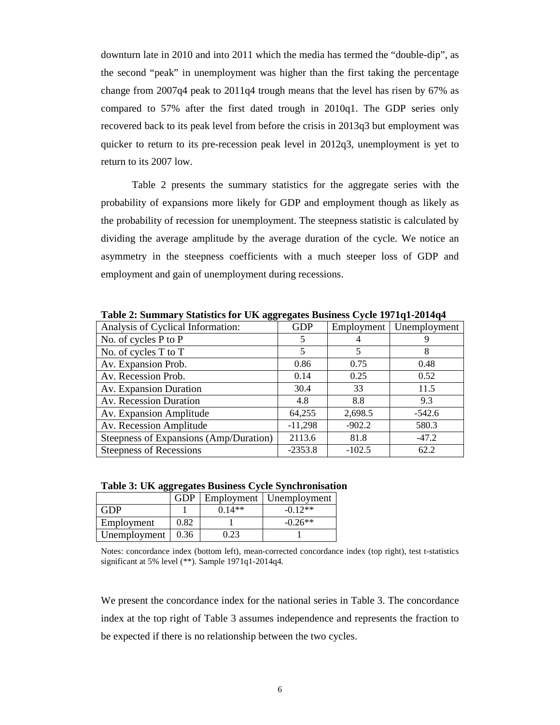downturn late in 2010 and into 2011 which the media has termed the "double-dip", as the second "peak" in unemployment was higher than the first taking the percentage change from 2007q4 peak to 2011q4 trough means that the level has risen by 67% as compared to 57% after the first dated trough in 2010q1. The GDP series only recovered back to its peak level from before the crisis in 2013q3 but employment was quicker to return to its pre-recession peak level in 2012q3, unemployment is yet to return to its 2007 low.

Table 2 presents the summary statistics for the aggregate series with the probability of expansions more likely for GDP and employment though as likely as the probability of recession for unemployment. The steepness statistic is calculated by dividing the average amplitude by the average duration of the cycle. We notice an asymmetry in the steepness coefficients with a much steeper loss of GDP and employment and gain of unemployment during recessions.

| Analysis of Cyclical Information:      | <b>GDP</b> | Employment | Unemployment |
|----------------------------------------|------------|------------|--------------|
| No. of cycles P to P                   | 5          |            |              |
| No. of cycles T to T                   | 5          |            | 8            |
| Av. Expansion Prob.                    | 0.86       | 0.75       | 0.48         |
| Av. Recession Prob.                    | 0.14       | 0.25       | 0.52         |
| Av. Expansion Duration                 | 30.4       | 33         | 11.5         |
| Av. Recession Duration                 | 4.8        | 8.8        | 9.3          |
| Av. Expansion Amplitude                | 64,255     | 2,698.5    | $-542.6$     |
| Av. Recession Amplitude                | $-11,298$  | $-902.2$   | 580.3        |
| Steepness of Expansions (Amp/Duration) | 2113.6     | 81.8       | $-47.2$      |
| Steepness of Recessions                | $-2353.8$  | $-102.5$   | 62.2         |

**Table 2: Summary Statistics for UK aggregates Business Cycle 1971q1-2014q4** 

|  |  | Table 3: UK aggregates Business Cycle Synchronisation |
|--|--|-------------------------------------------------------|
|  |  |                                                       |

|              | <b>GDP</b> |          | Employment   Unemployment |
|--------------|------------|----------|---------------------------|
| <b>GDP</b>   |            | $0.14**$ | $-0.12**$                 |
| Employment   | 0.82       |          | $-0.26**$                 |
| Unemployment | 0.36       | በ 23     |                           |

Notes: concordance index (bottom left), mean-corrected concordance index (top right), test t-statistics significant at 5% level (\*\*). Sample 1971q1-2014q4.

We present the concordance index for the national series in Table 3. The concordance index at the top right of Table 3 assumes independence and represents the fraction to be expected if there is no relationship between the two cycles.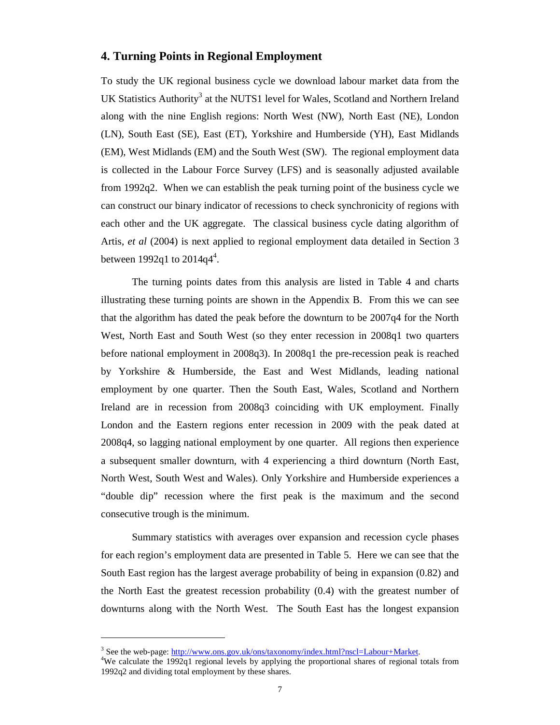#### **4. Turning Points in Regional Employment**

To study the UK regional business cycle we download labour market data from the UK Statistics Authority<sup>3</sup> at the NUTS1 level for Wales, Scotland and Northern Ireland along with the nine English regions: North West (NW), North East (NE), London (LN), South East (SE), East (ET), Yorkshire and Humberside (YH), East Midlands (EM), West Midlands (EM) and the South West (SW). The regional employment data is collected in the Labour Force Survey (LFS) and is seasonally adjusted available from 1992q2. When we can establish the peak turning point of the business cycle we can construct our binary indicator of recessions to check synchronicity of regions with each other and the UK aggregate. The classical business cycle dating algorithm of Artis, *et al* (2004) is next applied to regional employment data detailed in Section 3 between 1992q1 to  $2014q^{4}$ .

The turning points dates from this analysis are listed in Table 4 and charts illustrating these turning points are shown in the Appendix B. From this we can see that the algorithm has dated the peak before the downturn to be 2007q4 for the North West, North East and South West (so they enter recession in 2008q1 two quarters before national employment in 2008q3). In 2008q1 the pre-recession peak is reached by Yorkshire & Humberside, the East and West Midlands, leading national employment by one quarter. Then the South East, Wales, Scotland and Northern Ireland are in recession from 2008q3 coinciding with UK employment. Finally London and the Eastern regions enter recession in 2009 with the peak dated at 2008q4, so lagging national employment by one quarter. All regions then experience a subsequent smaller downturn, with 4 experiencing a third downturn (North East, North West, South West and Wales). Only Yorkshire and Humberside experiences a "double dip" recession where the first peak is the maximum and the second consecutive trough is the minimum.

Summary statistics with averages over expansion and recession cycle phases for each region's employment data are presented in Table 5. Here we can see that the South East region has the largest average probability of being in expansion (0.82) and the North East the greatest recession probability (0.4) with the greatest number of downturns along with the North West. The South East has the longest expansion

 $\overline{a}$ 

<sup>&</sup>lt;sup>3</sup> See the web-page: http://www.ons.gov.uk/ons/taxonomy/index.html?nscl=Labour+Market.

<sup>&</sup>lt;sup>4</sup>We calculate the 1992q1 regional levels by applying the proportional shares of regional totals from 1992q2 and dividing total employment by these shares.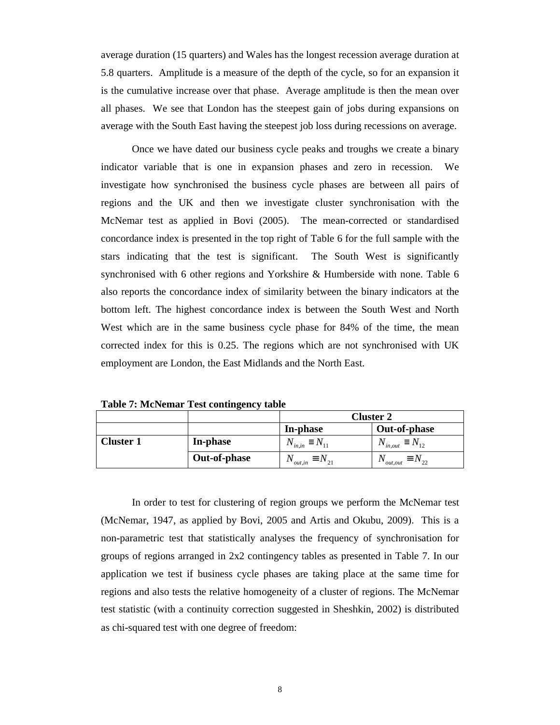average duration (15 quarters) and Wales has the longest recession average duration at 5.8 quarters. Amplitude is a measure of the depth of the cycle, so for an expansion it is the cumulative increase over that phase. Average amplitude is then the mean over all phases. We see that London has the steepest gain of jobs during expansions on average with the South East having the steepest job loss during recessions on average.

Once we have dated our business cycle peaks and troughs we create a binary indicator variable that is one in expansion phases and zero in recession. We investigate how synchronised the business cycle phases are between all pairs of regions and the UK and then we investigate cluster synchronisation with the McNemar test as applied in Bovi (2005). The mean-corrected or standardised concordance index is presented in the top right of Table 6 for the full sample with the stars indicating that the test is significant. The South West is significantly synchronised with 6 other regions and Yorkshire & Humberside with none. Table 6 also reports the concordance index of similarity between the binary indicators at the bottom left. The highest concordance index is between the South West and North West which are in the same business cycle phase for 84% of the time, the mean corrected index for this is 0.25. The regions which are not synchronised with UK employment are London, the East Midlands and the North East.

|                  |              |                                  | <b>Cluster 2</b>                   |  |  |  |  |  |  |
|------------------|--------------|----------------------------------|------------------------------------|--|--|--|--|--|--|
|                  |              | In-phase                         | Out-of-phase                       |  |  |  |  |  |  |
| <b>Cluster 1</b> | In-phase     | $N_{in,in} \equiv N_{11}$        | $N_{in,out} \equiv N_{12}$         |  |  |  |  |  |  |
|                  | Out-of-phase | $N_{_{out,in}} \equiv N_{_{21}}$ | $N_{\text{out,out}} \equiv N_{22}$ |  |  |  |  |  |  |

**Table 7: McNemar Test contingency table** 

In order to test for clustering of region groups we perform the McNemar test (McNemar, 1947, as applied by Bovi, 2005 and Artis and Okubu, 2009). This is a non-parametric test that statistically analyses the frequency of synchronisation for groups of regions arranged in 2x2 contingency tables as presented in Table 7. In our application we test if business cycle phases are taking place at the same time for regions and also tests the relative homogeneity of a cluster of regions. The McNemar test statistic (with a continuity correction suggested in Sheshkin, 2002) is distributed as chi-squared test with one degree of freedom: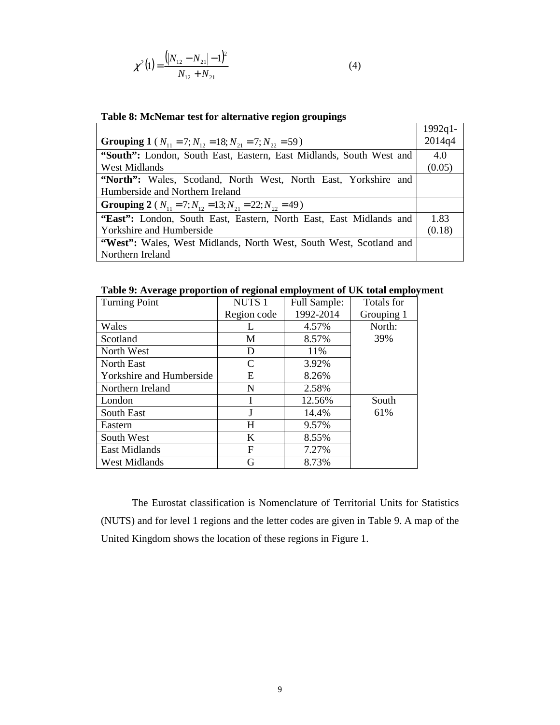$$
\chi^2(1) = \frac{(|N_{12} - N_{21}| - 1)^2}{N_{12} + N_{21}}
$$
\n(4)

| Table of Mervellar test for anchaanve region groupings                             |            |  |  |  |  |  |  |  |
|------------------------------------------------------------------------------------|------------|--|--|--|--|--|--|--|
|                                                                                    | $1992q1 -$ |  |  |  |  |  |  |  |
| <b>Grouping 1</b> ( $N_{11} = 7$ ; $N_{12} = 18$ ; $N_{21} = 7$ ; $N_{22} = 59$ )  |            |  |  |  |  |  |  |  |
| "South": London, South East, Eastern, East Midlands, South West and                |            |  |  |  |  |  |  |  |
| West Midlands                                                                      | (0.05)     |  |  |  |  |  |  |  |
| "North": Wales, Scotland, North West, North East, Yorkshire and                    |            |  |  |  |  |  |  |  |
| Humberside and Northern Ireland                                                    |            |  |  |  |  |  |  |  |
| <b>Grouping 2</b> ( $N_{11} = 7$ ; $N_{12} = 13$ ; $N_{21} = 22$ ; $N_{22} = 49$ ) |            |  |  |  |  |  |  |  |
| "East": London, South East, Eastern, North East, East Midlands and                 | 1.83       |  |  |  |  |  |  |  |
| Yorkshire and Humberside                                                           | (0.18)     |  |  |  |  |  |  |  |
| "West": Wales, West Midlands, North West, South West, Scotland and                 |            |  |  |  |  |  |  |  |
| Northern Ireland                                                                   |            |  |  |  |  |  |  |  |

### **Table 8: McNemar test for alternative region groupings**

**Table 9: Average proportion of regional employment of UK total employment** 

| <b>Turning Point</b>     | <b>NUTS1</b> | Full Sample: | Totals for |
|--------------------------|--------------|--------------|------------|
|                          | Region code  | 1992-2014    | Grouping 1 |
| Wales                    |              | 4.57%        | North:     |
| Scotland                 | M            | 8.57%        | 39%        |
| North West               | D            | 11%          |            |
| North East               | C            | 3.92%        |            |
| Yorkshire and Humberside | Ε            | 8.26%        |            |
| Northern Ireland         | N            | 2.58%        |            |
| London                   |              | 12.56%       | South      |
| South East               |              | 14.4%        | 61%        |
| Eastern                  | H            | 9.57%        |            |
| South West               | K            | 8.55%        |            |
| <b>East Midlands</b>     | F            | 7.27%        |            |
| <b>West Midlands</b>     | G            | 8.73%        |            |

The Eurostat classification is Nomenclature of Territorial Units for Statistics (NUTS) and for level 1 regions and the letter codes are given in Table 9. A map of the United Kingdom shows the location of these regions in Figure 1.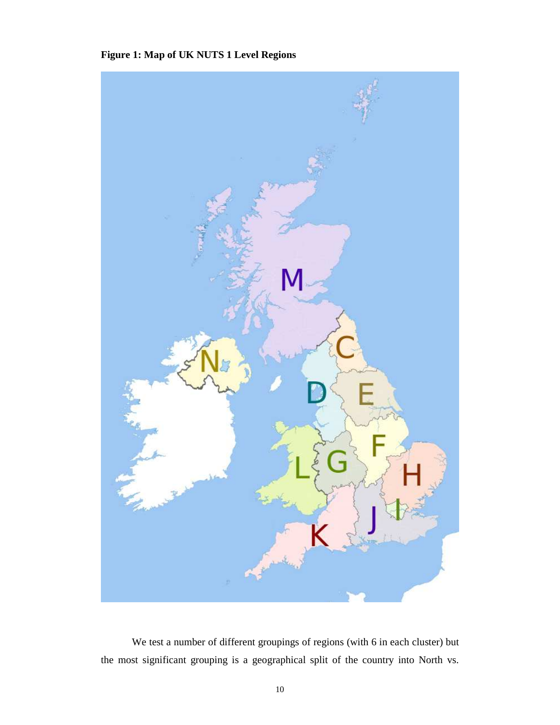## **Figure 1: Map of UK NUTS 1 Level Regions**



We test a number of different groupings of regions (with 6 in each cluster) but the most significant grouping is a geographical split of the country into North vs.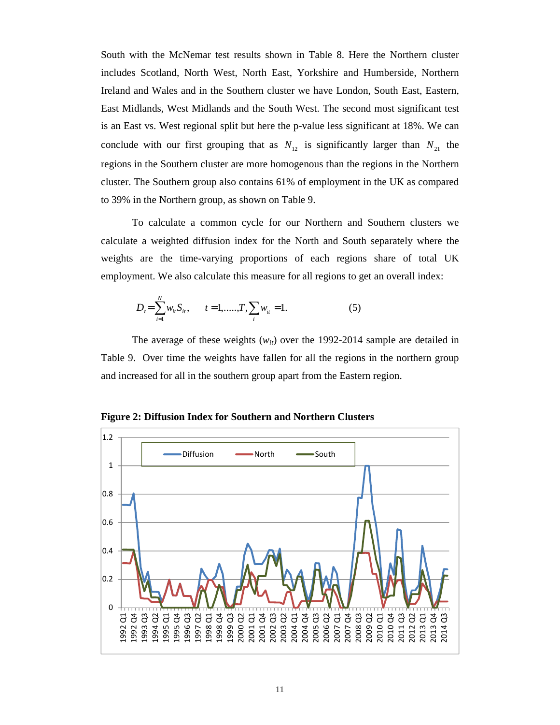South with the McNemar test results shown in Table 8. Here the Northern cluster includes Scotland, North West, North East, Yorkshire and Humberside, Northern Ireland and Wales and in the Southern cluster we have London, South East, Eastern, East Midlands, West Midlands and the South West. The second most significant test is an East vs. West regional split but here the p-value less significant at 18%. We can conclude with our first grouping that as  $N_{12}$  is significantly larger than  $N_{21}$  the regions in the Southern cluster are more homogenous than the regions in the Northern cluster. The Southern group also contains 61% of employment in the UK as compared to 39% in the Northern group, as shown on Table 9.

To calculate a common cycle for our Northern and Southern clusters we calculate a weighted diffusion index for the North and South separately where the weights are the time-varying proportions of each regions share of total UK employment. We also calculate this measure for all regions to get an overall index:

$$
D_{t} = \sum_{i=1}^{N} w_{it} S_{it}, \qquad t = 1, \dots, T, \sum_{i} w_{it} = 1.
$$
 (5)

The average of these weights  $(w_{it})$  over the 1992-2014 sample are detailed in Table 9. Over time the weights have fallen for all the regions in the northern group and increased for all in the southern group apart from the Eastern region.

**Figure 2: Diffusion Index for Southern and Northern Clusters** 

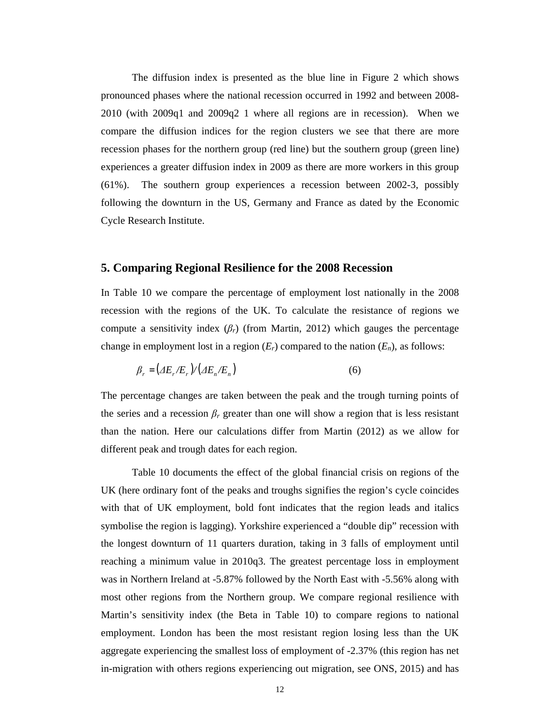The diffusion index is presented as the blue line in Figure 2 which shows pronounced phases where the national recession occurred in 1992 and between 2008- 2010 (with 2009q1 and 2009q2 1 where all regions are in recession). When we compare the diffusion indices for the region clusters we see that there are more recession phases for the northern group (red line) but the southern group (green line) experiences a greater diffusion index in 2009 as there are more workers in this group (61%). The southern group experiences a recession between 2002-3, possibly following the downturn in the US, Germany and France as dated by the Economic Cycle Research Institute.

#### **5. Comparing Regional Resilience for the 2008 Recession**

In Table 10 we compare the percentage of employment lost nationally in the 2008 recession with the regions of the UK. To calculate the resistance of regions we compute a sensitivity index  $(\beta_r)$  (from Martin, 2012) which gauges the percentage change in employment lost in a region  $(E_r)$  compared to the nation  $(E_n)$ , as follows:

$$
\beta_r = \left(\Delta E_r / E_r\right) / \left(\Delta E_n / E_n\right) \tag{6}
$$

The percentage changes are taken between the peak and the trough turning points of the series and a recession  $\beta_r$  greater than one will show a region that is less resistant than the nation. Here our calculations differ from Martin (2012) as we allow for different peak and trough dates for each region.

Table 10 documents the effect of the global financial crisis on regions of the UK (here ordinary font of the peaks and troughs signifies the region's cycle coincides with that of UK employment, bold font indicates that the region leads and italics symbolise the region is lagging). Yorkshire experienced a "double dip" recession with the longest downturn of 11 quarters duration, taking in 3 falls of employment until reaching a minimum value in 2010q3. The greatest percentage loss in employment was in Northern Ireland at -5.87% followed by the North East with -5.56% along with most other regions from the Northern group. We compare regional resilience with Martin's sensitivity index (the Beta in Table 10) to compare regions to national employment. London has been the most resistant region losing less than the UK aggregate experiencing the smallest loss of employment of -2.37% (this region has net in-migration with others regions experiencing out migration, see ONS, 2015) and has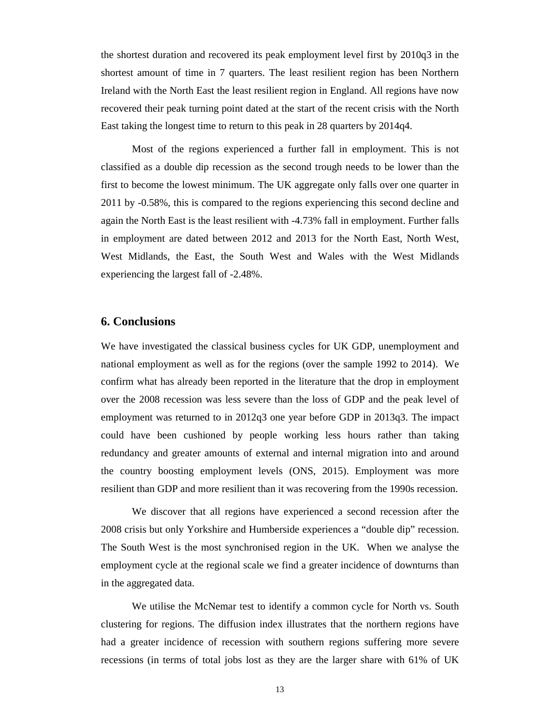the shortest duration and recovered its peak employment level first by 2010q3 in the shortest amount of time in 7 quarters. The least resilient region has been Northern Ireland with the North East the least resilient region in England. All regions have now recovered their peak turning point dated at the start of the recent crisis with the North East taking the longest time to return to this peak in 28 quarters by 2014q4.

Most of the regions experienced a further fall in employment. This is not classified as a double dip recession as the second trough needs to be lower than the first to become the lowest minimum. The UK aggregate only falls over one quarter in 2011 by -0.58%, this is compared to the regions experiencing this second decline and again the North East is the least resilient with -4.73% fall in employment. Further falls in employment are dated between 2012 and 2013 for the North East, North West, West Midlands, the East, the South West and Wales with the West Midlands experiencing the largest fall of -2.48%.

#### **6. Conclusions**

We have investigated the classical business cycles for UK GDP, unemployment and national employment as well as for the regions (over the sample 1992 to 2014). We confirm what has already been reported in the literature that the drop in employment over the 2008 recession was less severe than the loss of GDP and the peak level of employment was returned to in 2012q3 one year before GDP in 2013q3. The impact could have been cushioned by people working less hours rather than taking redundancy and greater amounts of external and internal migration into and around the country boosting employment levels (ONS, 2015). Employment was more resilient than GDP and more resilient than it was recovering from the 1990s recession.

We discover that all regions have experienced a second recession after the 2008 crisis but only Yorkshire and Humberside experiences a "double dip" recession. The South West is the most synchronised region in the UK. When we analyse the employment cycle at the regional scale we find a greater incidence of downturns than in the aggregated data.

We utilise the McNemar test to identify a common cycle for North vs. South clustering for regions. The diffusion index illustrates that the northern regions have had a greater incidence of recession with southern regions suffering more severe recessions (in terms of total jobs lost as they are the larger share with 61% of UK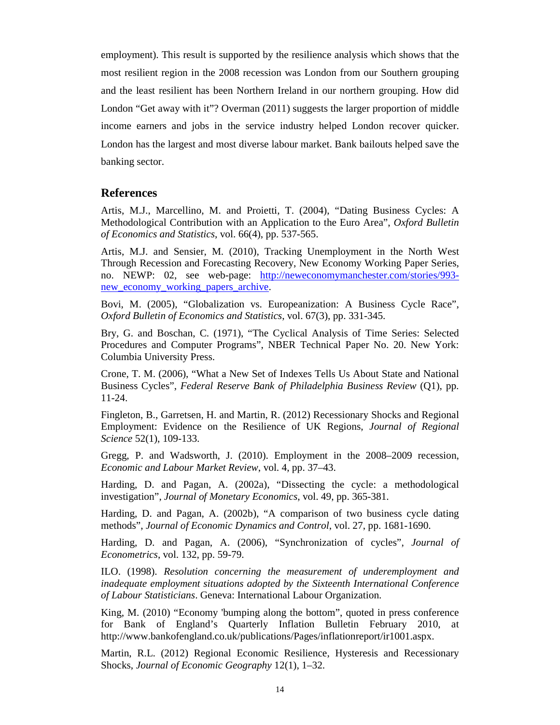employment). This result is supported by the resilience analysis which shows that the most resilient region in the 2008 recession was London from our Southern grouping and the least resilient has been Northern Ireland in our northern grouping. How did London "Get away with it"? Overman (2011) suggests the larger proportion of middle income earners and jobs in the service industry helped London recover quicker. London has the largest and most diverse labour market. Bank bailouts helped save the banking sector.

#### **References**

Artis, M.J., Marcellino, M. and Proietti, T. (2004), "Dating Business Cycles: A Methodological Contribution with an Application to the Euro Area", *Oxford Bulletin of Economics and Statistics*, vol. 66(4), pp. 537-565.

Artis, M.J. and Sensier, M. (2010), Tracking Unemployment in the North West Through Recession and Forecasting Recovery, New Economy Working Paper Series, no. NEWP: 02, see web-page: http://neweconomymanchester.com/stories/993 new\_economy\_working\_papers\_archive.

Bovi, M. (2005), "Globalization vs. Europeanization: A Business Cycle Race", *Oxford Bulletin of Economics and Statistics*, vol. 67(3), pp. 331-345.

Bry, G. and Boschan, C. (1971), "The Cyclical Analysis of Time Series: Selected Procedures and Computer Programs", NBER Technical Paper No. 20. New York: Columbia University Press.

Crone, T. M. (2006), "What a New Set of Indexes Tells Us About State and National Business Cycles", *Federal Reserve Bank of Philadelphia Business Review* (Q1), pp. 11-24.

Fingleton, B., Garretsen, H. and Martin, R. (2012) Recessionary Shocks and Regional Employment: Evidence on the Resilience of UK Regions, *Journal of Regional Science* 52(1), 109-133.

Gregg, P. and Wadsworth, J. (2010). Employment in the 2008–2009 recession, *Economic and Labour Market Review*, vol. 4, pp. 37–43.

Harding, D. and Pagan, A. (2002a), "Dissecting the cycle: a methodological investigation", *Journal of Monetary Economics*, vol. 49, pp. 365-381.

Harding, D. and Pagan, A. (2002b), "A comparison of two business cycle dating methods", *Journal of Economic Dynamics and Control*, vol. 27, pp. 1681-1690.

Harding, D. and Pagan, A. (2006), "Synchronization of cycles", *Journal of Econometrics*, vol. 132, pp. 59-79.

ILO. (1998). *Resolution concerning the measurement of underemployment and inadequate employment situations adopted by the Sixteenth International Conference of Labour Statisticians*. Geneva: International Labour Organization.

King, M. (2010) "Economy 'bumping along the bottom", quoted in press conference for Bank of England's Quarterly Inflation Bulletin February 2010, at http://www.bankofengland.co.uk/publications/Pages/inflationreport/ir1001.aspx.

Martin, R.L. (2012) Regional Economic Resilience, Hysteresis and Recessionary Shocks, *Journal of Economic Geography* 12(1), 1–32.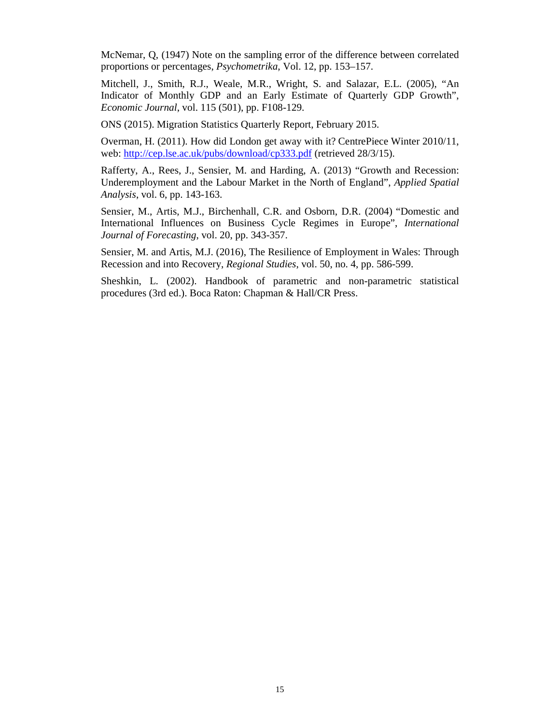McNemar, Q, (1947) Note on the sampling error of the difference between correlated proportions or percentages, *Psychometrika*, Vol. 12, pp. 153–157.

Mitchell, J., Smith, R.J., Weale, M.R., Wright, S. and Salazar, E.L. (2005), "An Indicator of Monthly GDP and an Early Estimate of Quarterly GDP Growth", *Economic Journal*, vol. 115 (501), pp. F108-129.

ONS (2015). Migration Statistics Quarterly Report, February 2015.

Overman, H. (2011). How did London get away with it? CentrePiece Winter 2010/11, web: http://cep.lse.ac.uk/pubs/download/cp333.pdf (retrieved 28/3/15).

Rafferty, A., Rees, J., Sensier, M. and Harding, A. (2013) "Growth and Recession: Underemployment and the Labour Market in the North of England", *Applied Spatial Analysis*, vol. 6, pp. 143-163.

Sensier, M., Artis, M.J., Birchenhall, C.R. and Osborn, D.R. (2004) "Domestic and International Influences on Business Cycle Regimes in Europe", *International Journal of Forecasting*, vol. 20, pp. 343-357.

Sensier, M. and Artis, M.J. (2016), The Resilience of Employment in Wales: Through Recession and into Recovery, *Regional Studies*, vol. 50, no. 4, pp. 586-599.

Sheshkin, L. (2002). Handbook of parametric and non-parametric statistical procedures (3rd ed.). Boca Raton: Chapman & Hall/CR Press.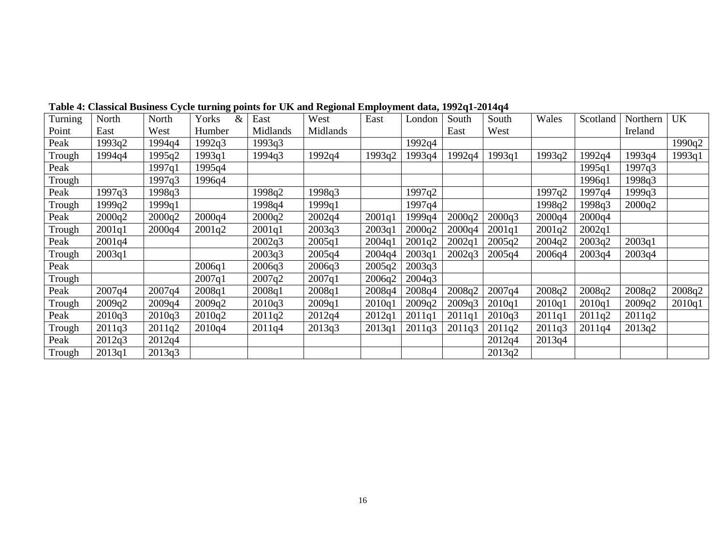| Turning | North  | North  | Yorks<br>& | East     | West     | East   | London | South  | South  | Wales  | Scotland | Northern | <b>UK</b> |
|---------|--------|--------|------------|----------|----------|--------|--------|--------|--------|--------|----------|----------|-----------|
| Point   | East   | West   | Humber     | Midlands | Midlands |        |        | East   | West   |        |          | Ireland  |           |
| Peak    | 1993q2 | 1994q4 | 1992q3     | 1993q3   |          |        | 1992q4 |        |        |        |          |          | 1990q2    |
| Trough  | 1994q4 | 1995q2 | 1993q1     | 1994q3   | 1992q4   | 1993q2 | 1993q4 | 1992q4 | 1993q1 | 1993q2 | 1992q4   | 1993q4   | 1993q1    |
| Peak    |        | 1997q1 | 1995q4     |          |          |        |        |        |        |        | 1995q1   | 1997q3   |           |
| Trough  |        | 1997q3 | 1996q4     |          |          |        |        |        |        |        | 1996q1   | 1998q3   |           |
| Peak    | 1997q3 | 1998q3 |            | 1998q2   | 1998q3   |        | 1997q2 |        |        | 1997q2 | 1997q4   | 1999q3   |           |
| Trough  | 1999q2 | 1999q1 |            | 1998q4   | 1999q1   |        | 1997q4 |        |        | 1998q2 | 1998q3   | 2000q2   |           |
| Peak    | 2000q2 | 2000q2 | 2000q4     | 2000q2   | 2002q4   | 2001q1 | 1999q4 | 2000q2 | 2000q3 | 2000q4 | 2000q4   |          |           |
| Trough  | 2001q1 | 2000q4 | 2001q2     | 2001q1   | 2003q3   | 2003q1 | 2000q2 | 2000q4 | 2001q1 | 2001q2 | 2002q1   |          |           |
| Peak    | 2001q4 |        |            | 2002q3   | 2005q1   | 2004q1 | 2001q2 | 2002q1 | 2005q2 | 2004q2 | 2003q2   | 2003q1   |           |
| Trough  | 2003q1 |        |            | 2003q3   | 2005q4   | 2004q4 | 2003q1 | 2002q3 | 2005q4 | 2006q4 | 2003q4   | 2003q4   |           |
| Peak    |        |        | 2006q1     | 2006q3   | 2006q3   | 2005q2 | 2003q3 |        |        |        |          |          |           |
| Trough  |        |        | 2007q1     | 2007q2   | 2007q1   | 2006q2 | 2004q3 |        |        |        |          |          |           |
| Peak    | 2007q4 | 2007q4 | 2008q1     | 2008q1   | 2008q1   | 2008q4 | 2008q4 | 2008q2 | 2007q4 | 2008q2 | 2008q2   | 2008q2   | 2008q2    |
| Trough  | 2009q2 | 2009q4 | 2009q2     | 2010q3   | 2009q1   | 2010q1 | 2009q2 | 2009q3 | 2010q1 | 2010q1 | 2010q1   | 2009q2   | 2010q1    |
| Peak    | 2010q3 | 2010q3 | 2010q2     | 2011q2   | 2012q4   | 2012q1 | 2011q1 | 2011q1 | 2010q3 | 2011q1 | 2011q2   | 2011q2   |           |
| Trough  | 2011q3 | 2011q2 | 2010q4     | 2011q4   | 2013q3   | 2013q1 | 2011q3 | 2011q3 | 2011q2 | 2011q3 | 2011q4   | 2013q2   |           |
| Peak    | 2012q3 | 2012q4 |            |          |          |        |        |        | 2012q4 | 2013q4 |          |          |           |
| Trough  | 2013q1 | 2013q3 |            |          |          |        |        |        | 2013q2 |        |          |          |           |

**Table 4: Classical Business Cycle turning points for UK and Regional Employment data, 1992q1-2014q4**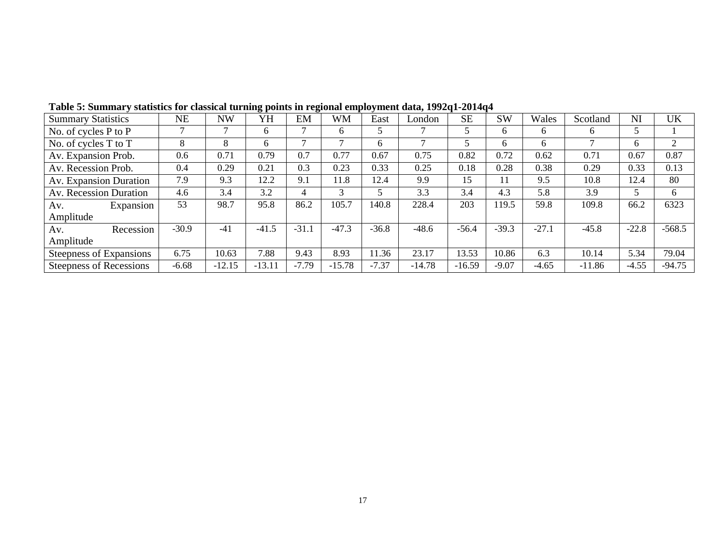| <b>Summary Statistics</b>      | <b>NE</b> | NW       | YΗ       | EM      | <b>WM</b> | East    | London   | <b>SE</b> | <b>SW</b> | Wales   | Scotland | NI      | <b>UK</b> |
|--------------------------------|-----------|----------|----------|---------|-----------|---------|----------|-----------|-----------|---------|----------|---------|-----------|
| No. of cycles $P$ to $P$       |           |          | 6        |         | 6         |         |          |           | 6.        | 6       | 6        | 5       |           |
| No. of cycles T to T           | 8         | 8        | 6        |         |           | 6       |          |           | 6.        | 6       |          | 6       |           |
| Av. Expansion Prob.            | 0.6       | 0.71     | 0.79     | 0.7     | 0.77      | 0.67    | 0.75     | 0.82      | 0.72      | 0.62    | 0.71     | 0.67    | 0.87      |
| Av. Recession Prob.            | 0.4       | 0.29     | 0.21     | 0.3     | 0.23      | 0.33    | 0.25     | 0.18      | 0.28      | 0.38    | 0.29     | 0.33    | 0.13      |
| Av. Expansion Duration         | 7.9       | 9.3      | 12.2     | 9.1     | 11.8      | 12.4    | 9.9      | 15        | 11        | 9.5     | 10.8     | 12.4    | 80        |
| Av. Recession Duration         | 4.6       | 3.4      | 3.2      | 4       | 3         |         | 3.3      | 3.4       | 4.3       | 5.8     | 3.9      | 5       | 6         |
| Expansion<br>Av.               | 53        | 98.7     | 95.8     | 86.2    | 105.7     | 140.8   | 228.4    | 203       | 119.5     | 59.8    | 109.8    | 66.2    | 6323      |
| Amplitude                      |           |          |          |         |           |         |          |           |           |         |          |         |           |
| Recession<br>Av.               | $-30.9$   | $-41$    | $-41.5$  | $-31.1$ | $-47.3$   | $-36.8$ | $-48.6$  | $-56.4$   | $-39.3$   | $-27.1$ | $-45.8$  | $-22.8$ | $-568.5$  |
| Amplitude                      |           |          |          |         |           |         |          |           |           |         |          |         |           |
| Steepness of Expansions        | 6.75      | 10.63    | 7.88     | 9.43    | 8.93      | 11.36   | 23.17    | 13.53     | 10.86     | 6.3     | 10.14    | 5.34    | 79.04     |
| <b>Steepness of Recessions</b> | $-6.68$   | $-12.15$ | $-13.11$ | $-7.79$ | $-15.78$  | $-7.37$ | $-14.78$ | $-16.59$  | $-9.07$   | $-4.65$ | $-11.86$ | $-4.55$ | $-94.75$  |

**Table 5: Summary statistics for classical turning points in regional employment data, 1992q1-2014q4**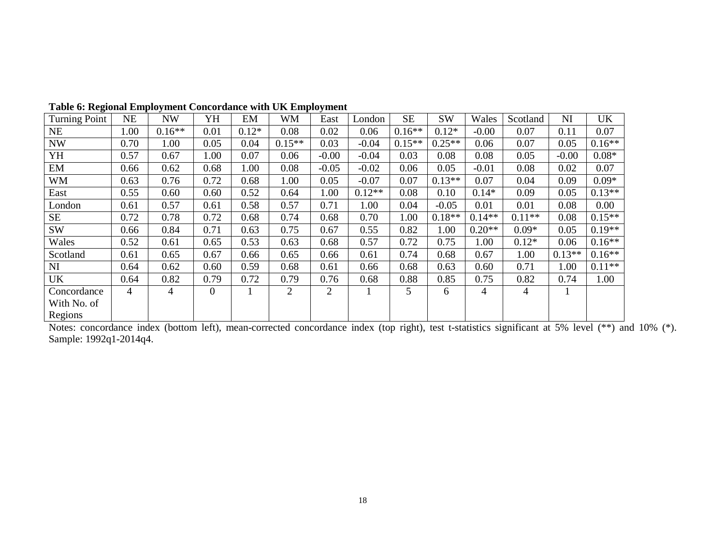| Turning Point | NE             | NW       | YH             | EМ      | WМ             | East           | London   | SЕ       | SW       | Wales    | Scotland | NI       | UK       |
|---------------|----------------|----------|----------------|---------|----------------|----------------|----------|----------|----------|----------|----------|----------|----------|
| NE            | 1.00           | $0.16**$ | 0.01           | $0.12*$ | 0.08           | 0.02           | 0.06     | $0.16**$ | $0.12*$  | $-0.00$  | 0.07     | 0.11     | 0.07     |
| <b>NW</b>     | 0.70           | 1.00     | 0.05           | 0.04    | $0.15**$       | 0.03           | $-0.04$  | $0.15**$ | $0.25**$ | 0.06     | 0.07     | 0.05     | $0.16**$ |
| YH            | 0.57           | 0.67     | 1.00           | 0.07    | 0.06           | $-0.00$        | $-0.04$  | 0.03     | 0.08     | 0.08     | 0.05     | $-0.00$  | $0.08*$  |
| EM            | 0.66           | 0.62     | 0.68           | 1.00    | 0.08           | $-0.05$        | $-0.02$  | 0.06     | 0.05     | $-0.01$  | 0.08     | 0.02     | 0.07     |
| WM            | 0.63           | 0.76     | 0.72           | 0.68    | 1.00           | 0.05           | $-0.07$  | 0.07     | $0.13**$ | 0.07     | 0.04     | 0.09     | $0.09*$  |
| East          | 0.55           | 0.60     | 0.60           | 0.52    | 0.64           | 1.00           | $0.12**$ | 0.08     | 0.10     | $0.14*$  | 0.09     | 0.05     | $0.13**$ |
| London        | 0.61           | 0.57     | 0.61           | 0.58    | 0.57           | 0.71           | 1.00     | 0.04     | $-0.05$  | 0.01     | 0.01     | 0.08     | 0.00     |
| <b>SE</b>     | 0.72           | 0.78     | 0.72           | 0.68    | 0.74           | 0.68           | 0.70     | 1.00     | $0.18**$ | $0.14**$ | $0.11**$ | 0.08     | $0.15**$ |
| <b>SW</b>     | 0.66           | 0.84     | 0.71           | 0.63    | 0.75           | 0.67           | 0.55     | 0.82     | 1.00     | $0.20**$ | $0.09*$  | 0.05     | $0.19**$ |
| Wales         | 0.52           | 0.61     | 0.65           | 0.53    | 0.63           | 0.68           | 0.57     | 0.72     | 0.75     | 1.00     | $0.12*$  | 0.06     | $0.16**$ |
| Scotland      | 0.61           | 0.65     | 0.67           | 0.66    | 0.65           | 0.66           | 0.61     | 0.74     | 0.68     | 0.67     | 1.00     | $0.13**$ | $0.16**$ |
| NI            | 0.64           | 0.62     | 0.60           | 0.59    | 0.68           | 0.61           | 0.66     | 0.68     | 0.63     | 0.60     | 0.71     | 1.00     | $0.11**$ |
| UK            | 0.64           | 0.82     | 0.79           | 0.72    | 0.79           | 0.76           | 0.68     | 0.88     | 0.85     | 0.75     | 0.82     | 0.74     | 1.00     |
| Concordance   | $\overline{4}$ | 4        | $\overline{0}$ |         | $\overline{2}$ | $\overline{2}$ |          | 5        | 6        | 4        | 4        | 1        |          |
| With No. of   |                |          |                |         |                |                |          |          |          |          |          |          |          |
| Regions       |                |          |                |         |                |                |          |          |          |          |          |          |          |

**Table 6: Regional Employment Concordance with UK Employment** 

Regions Notes: concordance index (bottom left), mean-corrected concordance index (top right), test t-statistics significant at 5% level (\*\*) and 10% (\*). Sample: 1992q1-2014q4.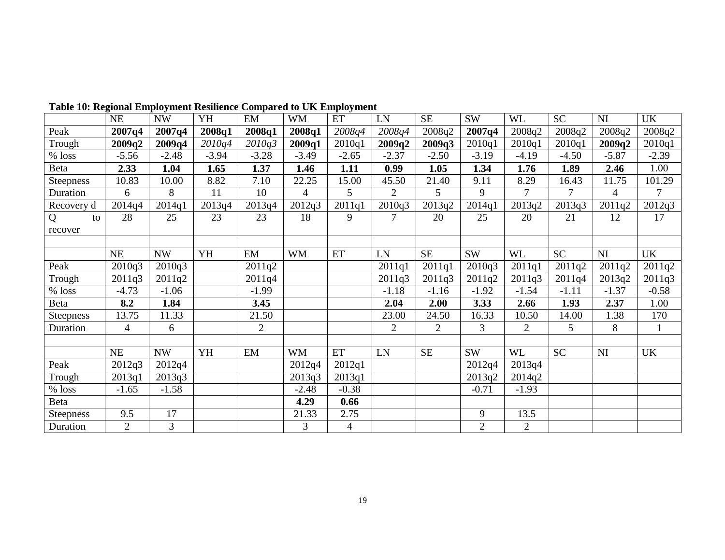|            | NE             | $\ensuremath{\text{NW}}$ | YH      | EM             | <b>WM</b> | ET             | ${\rm LN}$     | <b>SE</b>      | <b>SW</b>      | <b>WL</b>      | <b>SC</b> | NI      | <b>UK</b>    |
|------------|----------------|--------------------------|---------|----------------|-----------|----------------|----------------|----------------|----------------|----------------|-----------|---------|--------------|
| Peak       | 2007q4         | 2007q4                   | 2008q1  | 2008q1         | 2008q1    | 2008q4         | 2008q4         | 2008q2         | 2007q4         | 2008q2         | 2008q2    | 2008q2  | 2008q2       |
| Trough     | 2009q2         | 2009q4                   | 2010q4  | 2010q3         | 2009q1    | 2010q1         | 2009q2         | 2009q3         | 2010q1         | 2010q1         | 2010q1    | 2009q2  | 2010q1       |
| $\%$ loss  | $-5.56$        | $-2.48$                  | $-3.94$ | $-3.28$        | $-3.49$   | $-2.65$        | $-2.37$        | $-2.50$        | $-3.19$        | $-4.19$        | $-4.50$   | $-5.87$ | $-2.39$      |
| Beta       | 2.33           | 1.04                     | 1.65    | 1.37           | 1.46      | 1.11           | 0.99           | 1.05           | 1.34           | 1.76           | 1.89      | 2.46    | 1.00         |
| Steepness  | 10.83          | 10.00                    | 8.82    | 7.10           | 22.25     | 15.00          | 45.50          | 21.40          | 9.11           | 8.29           | 16.43     | 11.75   | 101.29       |
| Duration   | 6              | 8                        | 11      | 10             | 4         | 5              | $\overline{2}$ | 5              | 9              | 7              | $\tau$    | 4       | $\tau$       |
| Recovery d | 2014q4         | 2014q1                   | 2013q4  | 2013q4         | 2012q3    | 2011q1         | 2010q3         | 2013q2         | 2014q1         | 2013q2         | 2013q3    | 2011q2  | 2012q3       |
| Q<br>to    | 28             | 25                       | 23      | 23             | 18        | 9              |                | 20             | 25             | 20             | 21        | 12      | 17           |
| recover    |                |                          |         |                |           |                |                |                |                |                |           |         |              |
|            |                |                          |         |                |           |                |                |                |                |                |           |         |              |
|            | NE             | <b>NW</b>                | YH      | EM             | <b>WM</b> | ET             | LN             | $\rm SE$       | <b>SW</b>      | <b>WL</b>      | <b>SC</b> | NI      | UK           |
| Peak       | 2010q3         | 2010q3                   |         | 2011q2         |           |                | 2011q1         | 2011q1         | 2010q3         | 2011q1         | 2011q2    | 2011q2  | 2011q2       |
| Trough     | 2011q3         | 2011q2                   |         | 2011q4         |           |                | 2011q3         | 2011q3         | 2011q2         | 2011q3         | 2011q4    | 2013q2  | 2011q3       |
| $%$ loss   | $-4.73$        | $-1.06$                  |         | $-1.99$        |           |                | $-1.18$        | $-1.16$        | $-1.92$        | $-1.54$        | $-1.11$   | $-1.37$ | $-0.58$      |
| Beta       | 8.2            | 1.84                     |         | 3.45           |           |                | 2.04           | 2.00           | 3.33           | 2.66           | 1.93      | 2.37    | 1.00         |
| Steepness  | 13.75          | 11.33                    |         | 21.50          |           |                | 23.00          | 24.50          | 16.33          | 10.50          | 14.00     | 1.38    | 170          |
| Duration   | $\overline{4}$ | 6                        |         | $\overline{2}$ |           |                | $\overline{2}$ | $\overline{2}$ | 3              | $\overline{2}$ | 5         | 8       | $\mathbf{1}$ |
|            |                |                          |         |                |           |                |                |                |                |                |           |         |              |
|            | NE             | NW                       | YH      | EM             | <b>WM</b> | ET             | LN             | $\rm SE$       | <b>SW</b>      | <b>WL</b>      | <b>SC</b> | NI      | <b>UK</b>    |
| Peak       | 2012q3         | 2012q4                   |         |                | 2012q4    | 2012q1         |                |                | 2012q4         | 2013q4         |           |         |              |
| Trough     | 2013q1         | 2013q3                   |         |                | 2013q3    | 2013q1         |                |                | 2013q2         | 2014q2         |           |         |              |
| $\%$ loss  | $-1.65$        | $-1.58$                  |         |                | $-2.48$   | $-0.38$        |                |                | $-0.71$        | $-1.93$        |           |         |              |
| Beta       |                |                          |         |                | 4.29      | 0.66           |                |                |                |                |           |         |              |
| Steepness  | 9.5            | 17                       |         |                | 21.33     | 2.75           |                |                | 9              | 13.5           |           |         |              |
| Duration   | $\overline{2}$ | 3                        |         |                | 3         | $\overline{4}$ |                |                | $\overline{2}$ | 2              |           |         |              |

**Table 10: Regional Employment Resilience Compared to UK Employment**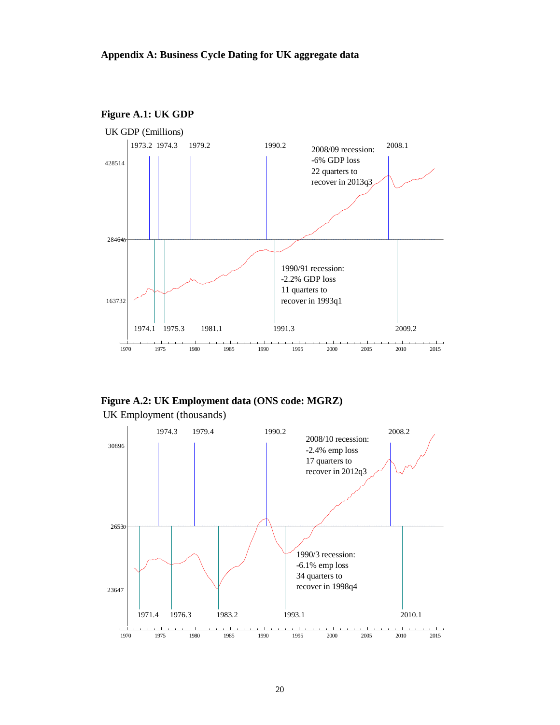

**Figure A.1: UK GDP** 

**Figure A.2: UK Employment data (ONS code: MGRZ)** 

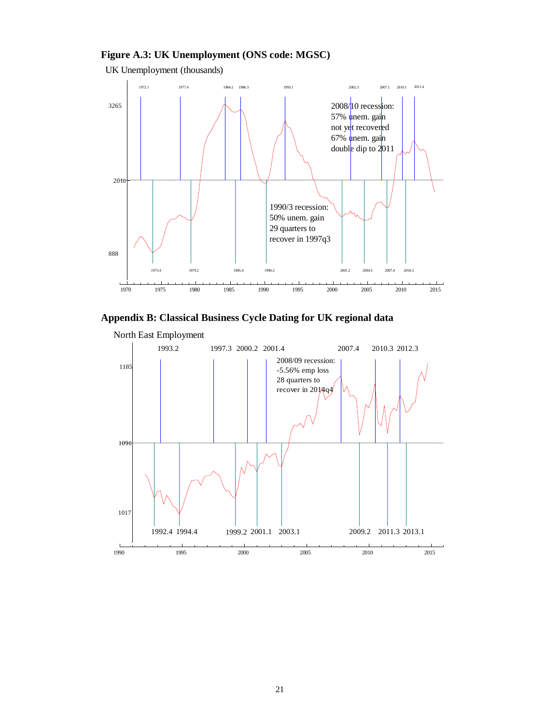### **Figure A.3: UK Unemployment (ONS code: MGSC)**

UK Unemployment (thousands)





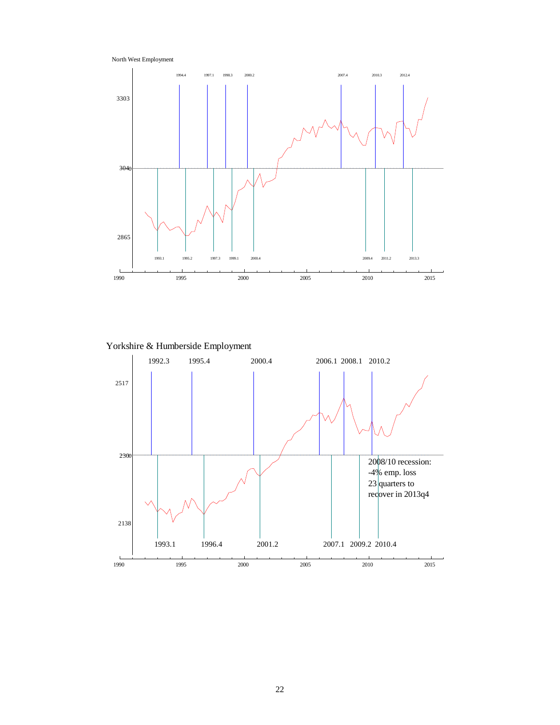North West Employment



Yorkshire & Humberside Employment

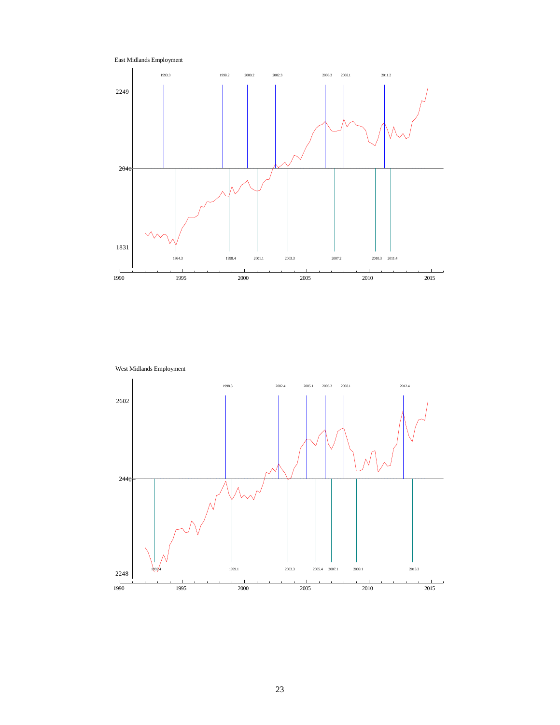



West Midlands Employment

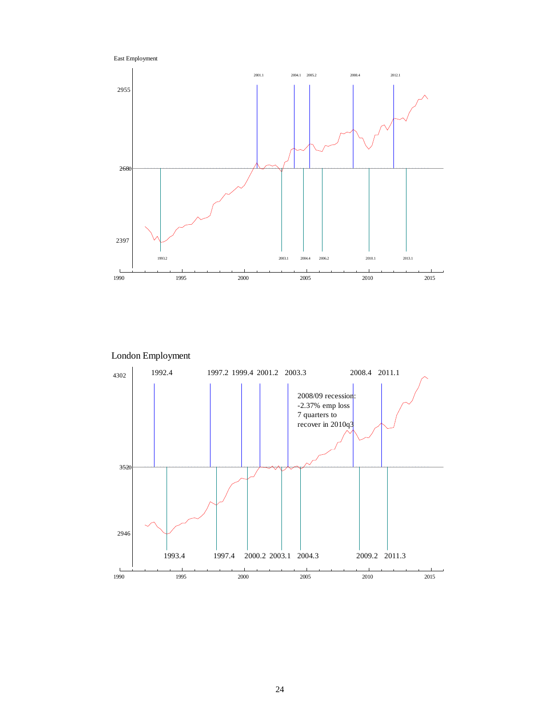



London Employment

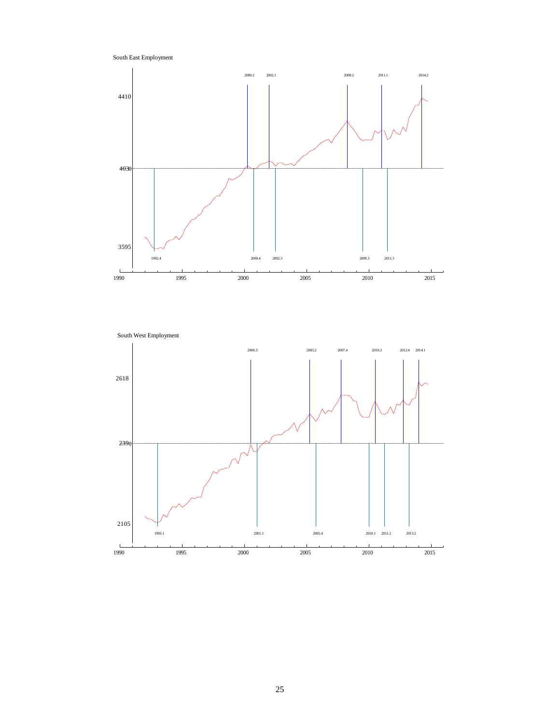South East Employment



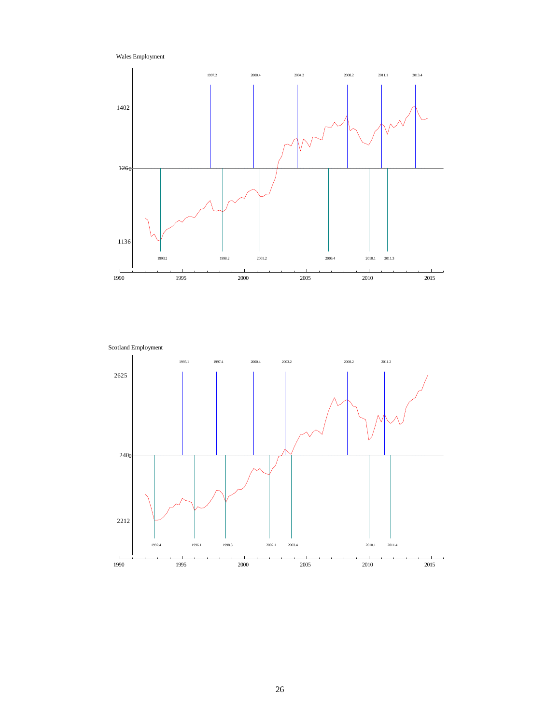Wales Employment